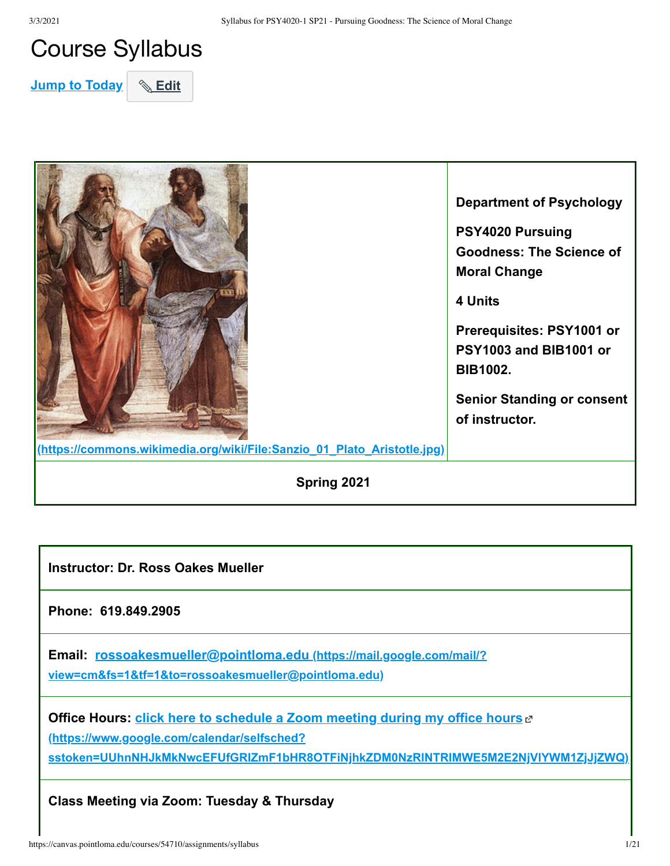## Course Syllabus

**Jump to Today** & Edit



**Instructor: Dr. Ross Oakes Mueller** 

**Phone: 619.849.2905**

**Email: rossoakesmueller@pointloma.edu (https://mail.google.com/mail/? [view=cm&fs=1&tf=1&to=rossoakesmueller@pointloma.edu\)](https://mail.google.com/mail/?view=cm&fs=1&tf=1&to=rossoakesmueller@pointloma.edu)**

**Office Hours: click here to schedule a Zoom meeting during my office hours** of **(https://www.google.com/calendar/selfsched? [sstoken=UUhnNHJkMkNwcEFUfGRlZmF1bHR8OTFiNjhkZDM0NzRlNTRlMWE5M2E2NjVlYWM1ZjJjZWQ\)](https://www.google.com/calendar/selfsched?sstoken=UUhnNHJkMkNwcEFUfGRlZmF1bHR8OTFiNjhkZDM0NzRlNTRlMWE5M2E2NjVlYWM1ZjJjZWQ)**

**Class Meeting via Zoom: Tuesday & Thursday**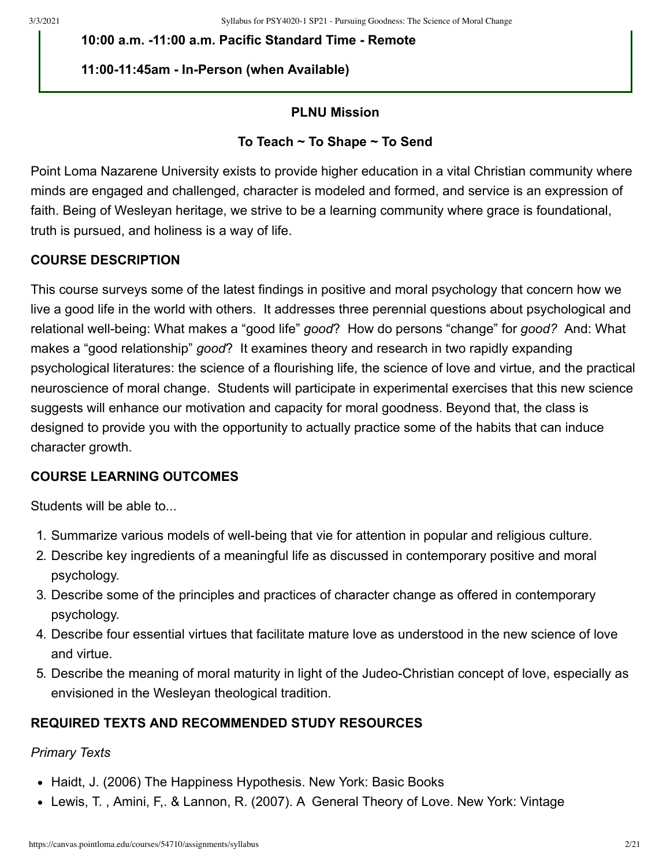**10:00 a.m. -11:00 a.m. Pacific Standard Time - Remote**

## **11:00-11:45am - In-Person (when Available)**

### **PLNU Mission**

### **To Teach ~ To Shape ~ To Send**

Point Loma Nazarene University exists to provide higher education in a vital Christian community where minds are engaged and challenged, character is modeled and formed, and service is an expression of faith. Being of Wesleyan heritage, we strive to be a learning community where grace is foundational, truth is pursued, and holiness is a way of life.

## **COURSE DESCRIPTION**

This course surveys some of the latest findings in positive and moral psychology that concern how we live a good life in the world with others. It addresses three perennial questions about psychological and relational well-being: What makes a "good life" *good*? How do persons "change" for *good?* And: What makes a "good relationship" *good*? It examines theory and research in two rapidly expanding psychological literatures: the science of a flourishing life, the science of love and virtue, and the practical neuroscience of moral change. Students will participate in experimental exercises that this new science suggests will enhance our motivation and capacity for moral goodness. Beyond that, the class is designed to provide you with the opportunity to actually practice some of the habits that can induce character growth.

## **COURSE LEARNING OUTCOMES**

Students will be able to...

- 1. Summarize various models of well-being that vie for attention in popular and religious culture.
- 2. Describe key ingredients of a meaningful life as discussed in contemporary positive and moral psychology.
- 3. Describe some of the principles and practices of character change as offered in contemporary psychology.
- 4. Describe four essential virtues that facilitate mature love as understood in the new science of love and virtue.
- 5. Describe the meaning of moral maturity in light of the Judeo-Christian concept of love, especially as envisioned in the Wesleyan theological tradition.

## **REQUIRED TEXTS AND RECOMMENDED STUDY RESOURCES**

#### *Primary Texts*

- Haidt, J. (2006) The Happiness Hypothesis. New York: Basic Books
- Lewis, T. , Amini, F,. & Lannon, R. (2007). A General Theory of Love. New York: Vintage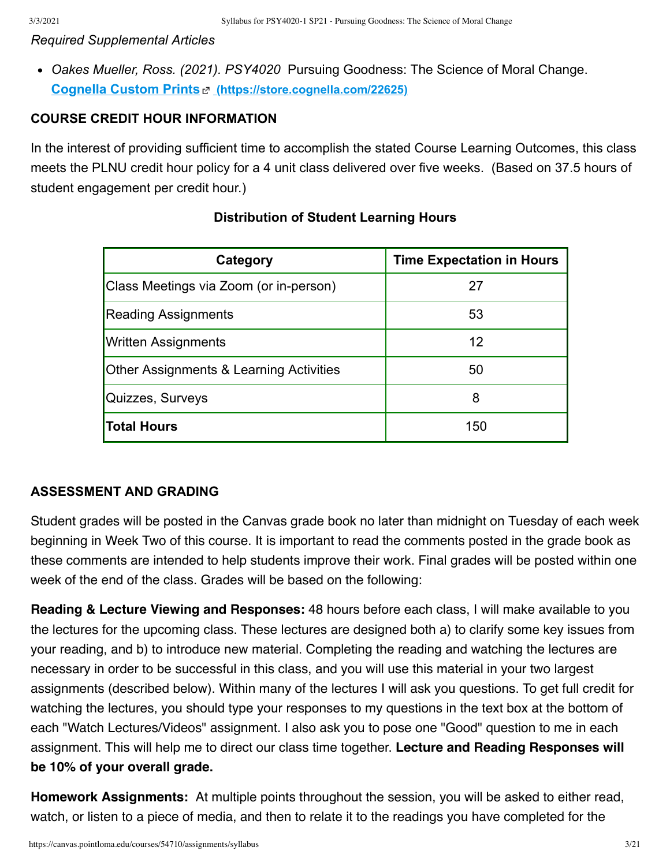#### *Required Supplemental Articles*

*Oakes Mueller, Ross. (2021). PSY4020* Pursuing Goodness: The Science of Moral Change. **Cognella Custom Prints [\(https://store.cognella.com/22625\)](https://store.cognella.com/22625)**

### **COURSE CREDIT HOUR INFORMATION**

In the interest of providing sufficient time to accomplish the stated Course Learning Outcomes, this class meets the PLNU credit hour policy for a 4 unit class delivered over five weeks. (Based on 37.5 hours of student engagement per credit hour.)

| Category                                           | <b>Time Expectation in Hours</b> |
|----------------------------------------------------|----------------------------------|
| Class Meetings via Zoom (or in-person)             | 27                               |
| <b>Reading Assignments</b>                         | 53                               |
| <b>Written Assignments</b>                         | 12                               |
| <b>Other Assignments &amp; Learning Activities</b> | 50                               |
| Quizzes, Surveys                                   | 8                                |
| Total Hours                                        | 150                              |

### **Distribution of Student Learning Hours**

#### **ASSESSMENT AND GRADING**

Student grades will be posted in the Canvas grade book no later than midnight on Tuesday of each week beginning in Week Two of this course. It is important to read the comments posted in the grade book as these comments are intended to help students improve their work. Final grades will be posted within one week of the end of the class. Grades will be based on the following:

**Reading & Lecture Viewing and Responses:** 48 hours before each class, I will make available to you the lectures for the upcoming class. These lectures are designed both a) to clarify some key issues from your reading, and b) to introduce new material. Completing the reading and watching the lectures are necessary in order to be successful in this class, and you will use this material in your two largest assignments (described below). Within many of the lectures I will ask you questions. To get full credit for watching the lectures, you should type your responses to my questions in the text box at the bottom of each "Watch Lectures/Videos" assignment. I also ask you to pose one "Good" question to me in each assignment. This will help me to direct our class time together. **Lecture and Reading Responses will be 10% of your overall grade.**

**Homework Assignments:** At multiple points throughout the session, you will be asked to either read, watch, or listen to a piece of media, and then to relate it to the readings you have completed for the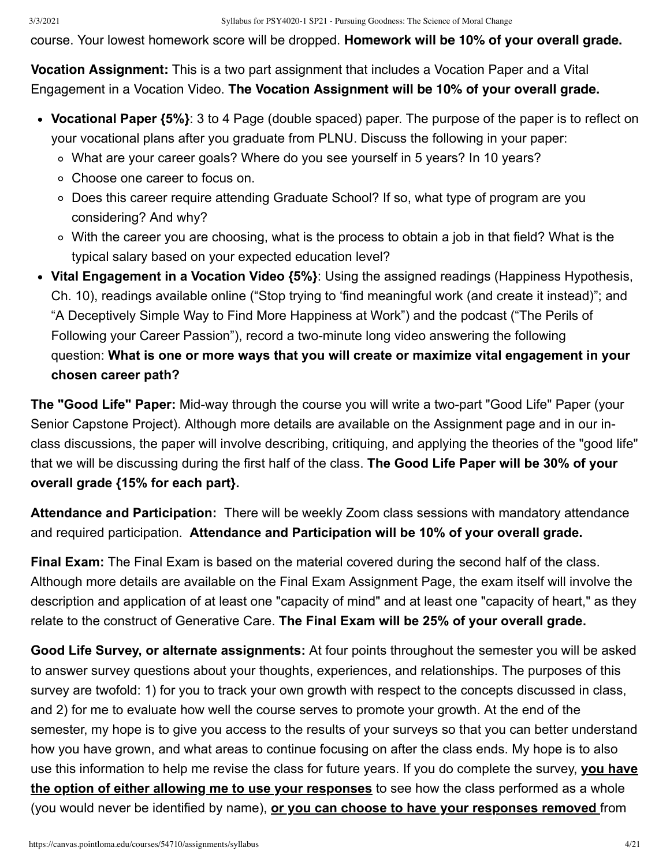course. Your lowest homework score will be dropped. **Homework will be 10% of your overall grade.** 

**Vocation Assignment:** This is a two part assignment that includes a Vocation Paper and a Vital Engagement in a Vocation Video. **The Vocation Assignment will be 10% of your overall grade.** 

- **Vocational Paper {5%}**: 3 to 4 Page (double spaced) paper. The purpose of the paper is to reflect on your vocational plans after you graduate from PLNU. Discuss the following in your paper:
	- What are your career goals? Where do you see yourself in 5 years? In 10 years?
	- Choose one career to focus on.
	- Does this career require attending Graduate School? If so, what type of program are you considering? And why?
	- With the career you are choosing, what is the process to obtain a job in that field? What is the typical salary based on your expected education level?
- **Vital Engagement in a Vocation Video {5%}**: Using the assigned readings (Happiness Hypothesis, Ch. 10), readings available online ("Stop trying to 'find meaningful work (and create it instead)"; and "A Deceptively Simple Way to Find More Happiness at Work") and the podcast ("The Perils of Following your Career Passion"), record a two-minute long video answering the following question: **What is one or more ways that you will create or maximize vital engagement in your chosen career path?**

**The "Good Life" Paper:** Mid-way through the course you will write a two-part "Good Life" Paper (your Senior Capstone Project). Although more details are available on the Assignment page and in our inclass discussions, the paper will involve describing, critiquing, and applying the theories of the "good life" that we will be discussing during the first half of the class. **The Good Life Paper will be 30% of your overall grade {15% for each part}.** 

**Attendance and Participation:** There will be weekly Zoom class sessions with mandatory attendance and required participation. **Attendance and Participation will be 10% of your overall grade.** 

**Final Exam:** The Final Exam is based on the material covered during the second half of the class. Although more details are available on the Final Exam Assignment Page, the exam itself will involve the description and application of at least one "capacity of mind" and at least one "capacity of heart," as they relate to the construct of Generative Care. **The Final Exam will be 25% of your overall grade.**

**Good Life Survey, or alternate assignments:** At four points throughout the semester you will be asked to answer survey questions about your thoughts, experiences, and relationships. The purposes of this survey are twofold: 1) for you to track your own growth with respect to the concepts discussed in class, and 2) for me to evaluate how well the course serves to promote your growth. At the end of the semester, my hope is to give you access to the results of your surveys so that you can better understand how you have grown, and what areas to continue focusing on after the class ends. My hope is to also use this information to help me revise the class for future years. If you do complete the survey, **you have the option of either allowing me to use your responses** to see how the class performed as a whole (you would never be identified by name), **or you can choose to have your responses removed** from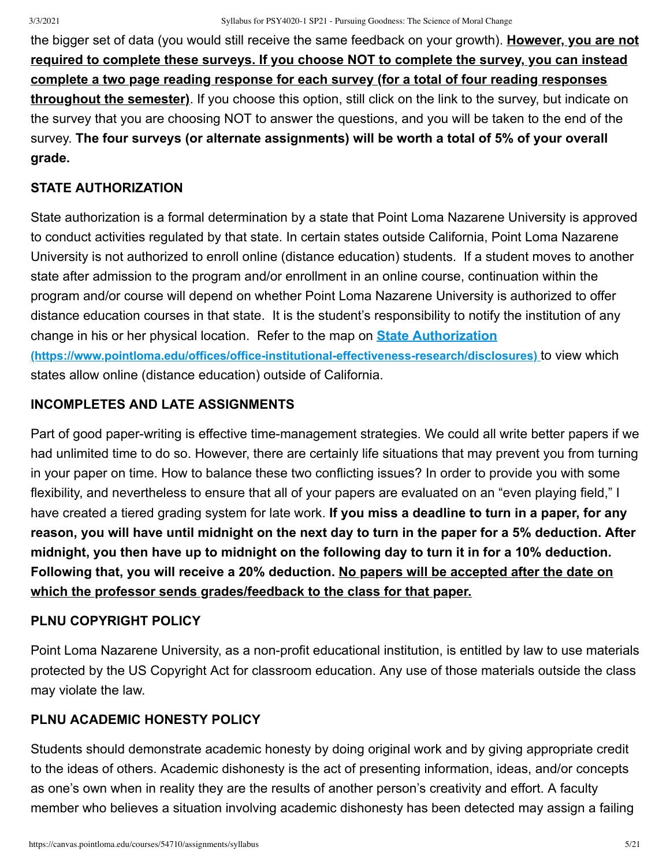the bigger set of data (you would still receive the same feedback on your growth). **However, you are not required to complete these surveys. If you choose NOT to complete the survey, you can instead complete a two page reading response for each survey (for a total of four reading responses throughout the semester)**. If you choose this option, still click on the link to the survey, but indicate on the survey that you are choosing NOT to answer the questions, and you will be taken to the end of the survey. **The four surveys (or alternate assignments) will be worth a total of 5% of your overall grade.**

## **STATE AUTHORIZATION**

State authorization is a formal determination by a state that Point Loma Nazarene University is approved to conduct activities regulated by that state. In certain states outside California, Point Loma Nazarene University is not authorized to enroll online (distance education) students. If a student moves to another state after admission to the program and/or enrollment in an online course, continuation within the program and/or course will depend on whether Point Loma Nazarene University is authorized to offer distance education courses in that state. It is the student's responsibility to notify the institution of any change in his or her physical location. Refer to the map on **State Authorization [\(https://www.pointloma.edu/offices/office-institutional-effectiveness-research/disclosures\)](https://www.pointloma.edu/offices/office-institutional-effectiveness-research/disclosures)** to view which states allow online (distance education) outside of California.

## **INCOMPLETES AND LATE ASSIGNMENTS**

Part of good paper-writing is effective time-management strategies. We could all write better papers if we had unlimited time to do so. However, there are certainly life situations that may prevent you from turning in your paper on time. How to balance these two conflicting issues? In order to provide you with some flexibility, and nevertheless to ensure that all of your papers are evaluated on an "even playing field," I have created a tiered grading system for late work. **If you miss a deadline to turn in a paper, for any reason, you will have until midnight on the next day to turn in the paper for a 5% deduction. After midnight, you then have up to midnight on the following day to turn it in for a 10% deduction. Following that, you will receive a 20% deduction. No papers will be accepted after the date on which the professor sends grades/feedback to the class for that paper.**

## **PLNU COPYRIGHT POLICY**

Point Loma Nazarene University, as a non-profit educational institution, is entitled by law to use materials protected by the US Copyright Act for classroom education. Any use of those materials outside the class may violate the law.

## **PLNU ACADEMIC HONESTY POLICY**

Students should demonstrate academic honesty by doing original work and by giving appropriate credit to the ideas of others. Academic dishonesty is the act of presenting information, ideas, and/or concepts as one's own when in reality they are the results of another person's creativity and effort. A faculty member who believes a situation involving academic dishonesty has been detected may assign a failing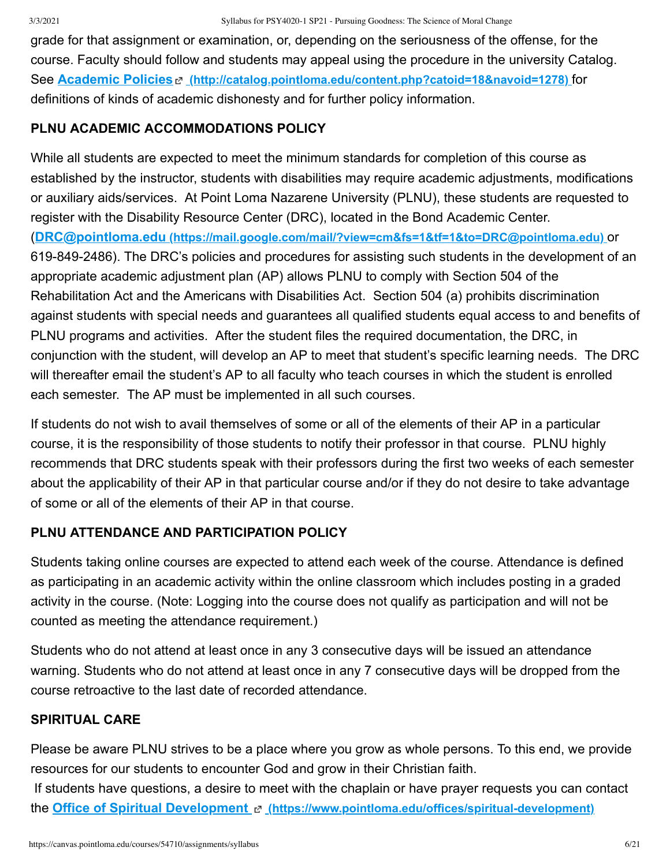grade for that assignment or examination, or, depending on the seriousness of the offense, for the course. Faculty should follow and students may appeal using the procedure in the university Catalog. See **Academic Policies [\(http://catalog.pointloma.edu/content.php?catoid=18&navoid=1278\)](http://catalog.pointloma.edu/content.php?catoid=18&navoid=1278)** for definitions of kinds of academic dishonesty and for further policy information.

## **PLNU ACADEMIC ACCOMMODATIONS POLICY**

While all students are expected to meet the minimum standards for completion of this course as established by the instructor, students with disabilities may require academic adjustments, modifications or auxiliary aids/services. At Point Loma Nazarene University (PLNU), these students are requested to register with the Disability Resource Center (DRC), located in the Bond Academic Center. (**DRC@pointloma.edu [\(https://mail.google.com/mail/?view=cm&fs=1&tf=1&to=DRC@pointloma.edu\)](https://mail.google.com/mail/?view=cm&fs=1&tf=1&to=DRC@pointloma.edu)** or 619-849-2486). The DRC's policies and procedures for assisting such students in the development of an appropriate academic adjustment plan (AP) allows PLNU to comply with Section 504 of the Rehabilitation Act and the Americans with Disabilities Act. Section 504 (a) prohibits discrimination against students with special needs and guarantees all qualified students equal access to and benefits of PLNU programs and activities. After the student files the required documentation, the DRC, in conjunction with the student, will develop an AP to meet that student's specific learning needs. The DRC will thereafter email the student's AP to all faculty who teach courses in which the student is enrolled each semester. The AP must be implemented in all such courses.

If students do not wish to avail themselves of some or all of the elements of their AP in a particular course, it is the responsibility of those students to notify their professor in that course. PLNU highly recommends that DRC students speak with their professors during the first two weeks of each semester about the applicability of their AP in that particular course and/or if they do not desire to take advantage of some or all of the elements of their AP in that course.

## **PLNU ATTENDANCE AND PARTICIPATION POLICY**

Students taking online courses are expected to attend each week of the course. Attendance is defined as participating in an academic activity within the online classroom which includes posting in a graded activity in the course. (Note: Logging into the course does not qualify as participation and will not be counted as meeting the attendance requirement.)

Students who do not attend at least once in any 3 consecutive days will be issued an attendance warning. Students who do not attend at least once in any 7 consecutive days will be dropped from the course retroactive to the last date of recorded attendance.

## **SPIRITUAL CARE**

Please be aware PLNU strives to be a place where you grow as whole persons. To this end, we provide resources for our students to encounter God and grow in their Christian faith.

 If students have questions, a desire to meet with the chaplain or have prayer requests you can contact the **Office of Spiritual Development [\(https://www.pointloma.edu/offices/spiritual-development\)](https://www.pointloma.edu/offices/spiritual-development)**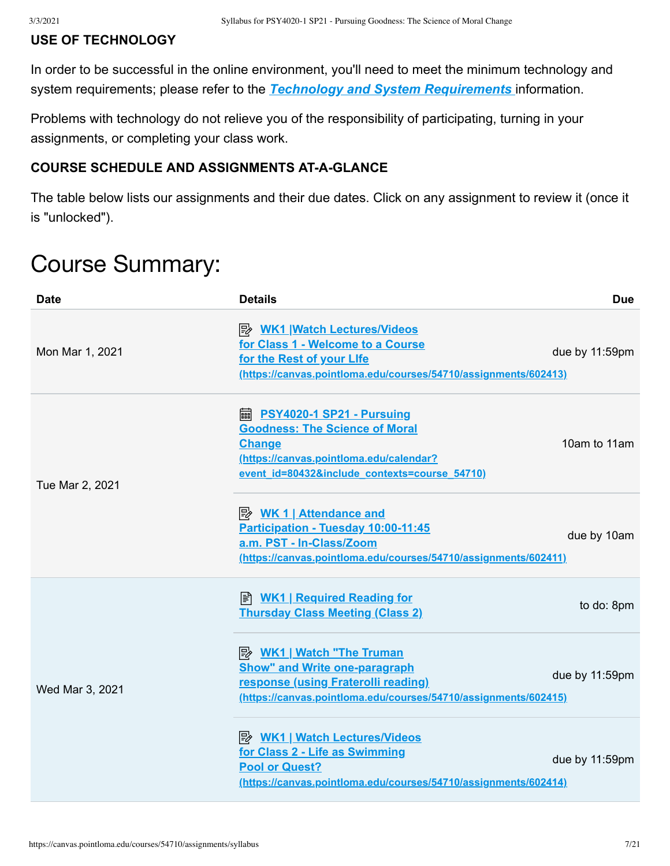## **USE OF TECHNOLOGY**

In order to be successful in the online environment, you'll need to meet the minimum technology and system requirements; please refer to the *[Technology and System Requirements](https://canvas.pointloma.edu/courses/51315/pages/technology-and-system-requirements)* information.

Problems with technology do not relieve you of the responsibility of participating, turning in your assignments, or completing your class work.

## **COURSE SCHEDULE AND ASSIGNMENTS AT-A-GLANCE**

The table below lists our assignments and their due dates. Click on any assignment to review it (once it is "unlocked").

# Course Summary:

| <b>Date</b>     | <b>Details</b>                                                                                                                                                                           | <b>Due</b>     |
|-----------------|------------------------------------------------------------------------------------------------------------------------------------------------------------------------------------------|----------------|
| Mon Mar 1, 2021 | <b>A. WK1 Watch Lectures/Videos</b><br>for Class 1 - Welcome to a Course<br>for the Rest of your Life<br>(https://canvas.pointloma.edu/courses/54710/assignments/602413)                 | due by 11:59pm |
| Tue Mar 2, 2021 | <b>A</b> PSY4020-1 SP21 - Pursuing<br><b>Goodness: The Science of Moral</b><br><b>Change</b><br>(https://canvas.pointloma.edu/calendar?<br>event id=80432&include contexts=course 54710) | 10am to 11am   |
|                 | <u> <i>WK</i> 1   Attendance and</u><br>Participation - Tuesday 10:00-11:45<br>a.m. PST - In-Class/Zoom<br>(https://canvas.pointloma.edu/courses/54710/assignments/602411)               | due by 10am    |
|                 | ■ WK1   Required Reading for<br><b>Thursday Class Meeting (Class 2)</b>                                                                                                                  | to do: 8pm     |
| Wed Mar 3, 2021 | <b>Show" and Write one-paragraph</b><br>response (using Fraterolli reading)<br>(https://canvas.pointloma.edu/courses/54710/assignments/602415)                                           | due by 11:59pm |
|                 | <b>A</b> WK1   Watch Lectures/Videos<br>for Class 2 - Life as Swimming<br><b>Pool or Quest?</b><br>(https://canvas.pointloma.edu/courses/54710/assignments/602414)                       | due by 11:59pm |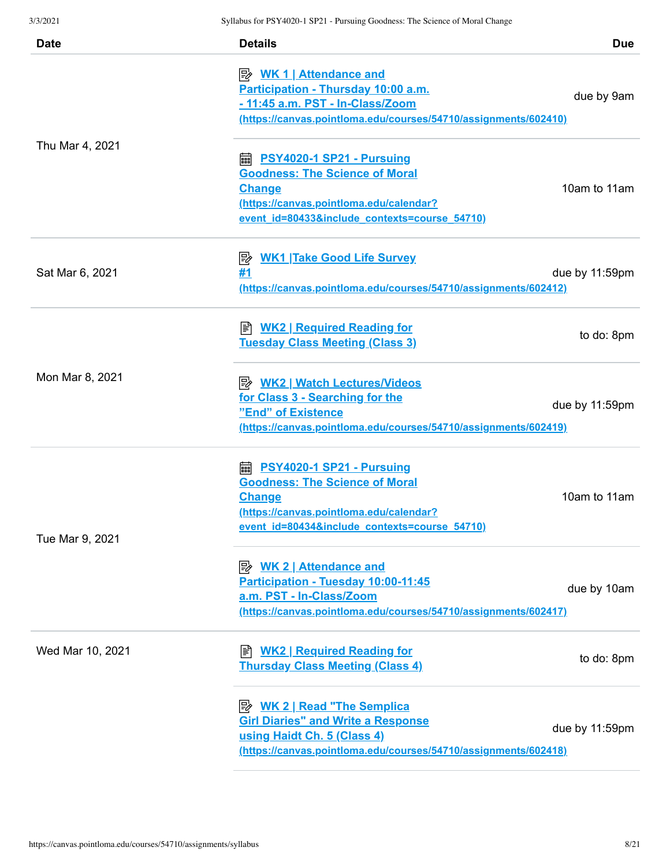| <b>Date</b>      | <b>Details</b>                                                                                                                                                                           | <b>Due</b>     |
|------------------|------------------------------------------------------------------------------------------------------------------------------------------------------------------------------------------|----------------|
|                  | <u> <i>WK</i> 1   Attendance and</u><br>Participation - Thursday 10:00 a.m.<br>- 11:45 a.m. PST - In-Class/Zoom<br>(https://canvas.pointloma.edu/courses/54710/assignments/602410)       | due by 9am     |
| Thu Mar 4, 2021  | <b>■ PSY4020-1 SP21 - Pursuing</b><br><b>Goodness: The Science of Moral</b><br><b>Change</b><br>(https://canvas.pointloma.edu/calendar?<br>event id=80433&include contexts=course 54710) | 10am to 11am   |
| Sat Mar 6, 2021  | <b>WK1 Take Good Life Survey</b><br>零<br>#1<br>(https://canvas.pointloma.edu/courses/54710/assignments/602412)                                                                           | due by 11:59pm |
|                  | <b>E</b> WK2   Required Reading for<br><b>Tuesday Class Meeting (Class 3)</b>                                                                                                            | to do: 8pm     |
| Mon Mar 8, 2021  | <b>B</b> WK2   Watch Lectures/Videos<br>for Class 3 - Searching for the<br>"End" of Existence<br>(https://canvas.pointloma.edu/courses/54710/assignments/602419)                         | due by 11:59pm |
| Tue Mar 9, 2021  | <b>■ PSY4020-1 SP21 - Pursuing</b><br><b>Goodness: The Science of Moral</b><br><b>Change</b><br>(https://canvas.pointloma.edu/calendar?<br>event id=80434&include contexts=course 54710) | 10am to 11am   |
|                  | <b>Attendance and</b><br>Participation - Tuesday 10:00-11:45<br>a.m. PST - In-Class/Zoom<br>(https://canvas.pointloma.edu/courses/54710/assignments/602417)                              | due by 10am    |
| Wed Mar 10, 2021 | ■ WK2   Required Reading for<br><b>Thursday Class Meeting (Class 4)</b>                                                                                                                  | to do: 8pm     |
|                  | <b>B</b> WK 2   Read "The Semplica<br><b>Girl Diaries" and Write a Response</b><br>using Haidt Ch. 5 (Class 4)<br>(https://canvas.pointloma.edu/courses/54710/assignments/602418)        | due by 11:59pm |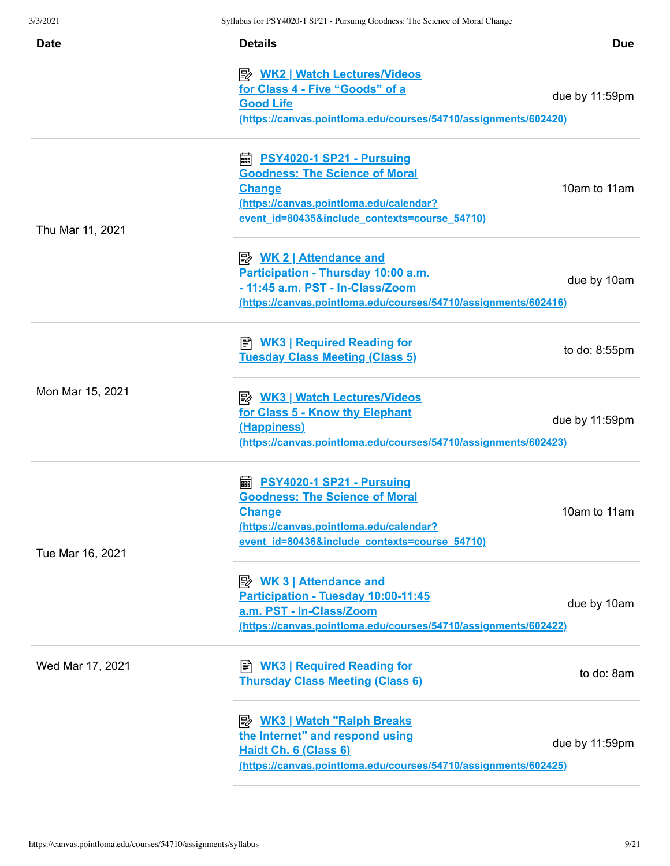| <b>Date</b>      | <b>Details</b>                                                                                                                                                                                   | <b>Due</b>     |
|------------------|--------------------------------------------------------------------------------------------------------------------------------------------------------------------------------------------------|----------------|
|                  | <u>  WK2   Watch Lectures/Videos</u><br>for Class 4 - Five "Goods" of a<br><b>Good Life</b><br>(https://canvas.pointloma.edu/courses/54710/assignments/602420)                                   | due by 11:59pm |
| Thu Mar 11, 2021 | <b>■ PSY4020-1 SP21 - Pursuing</b><br><b>Goodness: The Science of Moral</b><br><b>Change</b><br>(https://canvas.pointloma.edu/calendar?<br>event id=80435&include contexts=course 54710)         | 10am to 11am   |
|                  | <b>Attendance and</b><br>Participation - Thursday 10:00 a.m.<br>- 11:45 a.m. PST - In-Class/Zoom<br>(https://canvas.pointloma.edu/courses/54710/assignments/602416)                              | due by 10am    |
|                  | <b>WK3   Required Reading for</b><br>訚<br><b>Tuesday Class Meeting (Class 5)</b>                                                                                                                 | to do: 8:55pm  |
| Mon Mar 15, 2021 | <b>B</b> WK3   Watch Lectures/Videos<br>for Class 5 - Know thy Elephant<br>(Happiness)<br>(https://canvas.pointloma.edu/courses/54710/assignments/602423)                                        | due by 11:59pm |
| Tue Mar 16, 2021 | https://www.philippedia.org/management.com<br><b>Goodness: The Science of Moral</b><br><b>Change</b><br>(https://canvas.pointloma.edu/calendar?<br>event id=80436&include contexts=course 54710) | 10am to 11am   |
|                  | <u> <i>WK</i> 3   Attendance and</u><br>Participation - Tuesday 10:00-11:45<br>a.m. PST - In-Class/Zoom<br>(https://canvas.pointloma.edu/courses/54710/assignments/602422)                       | due by 10am    |
| Wed Mar 17, 2021 | <b>WK3   Required Reading for</b><br>Ħ<br><b>Thursday Class Meeting (Class 6)</b>                                                                                                                | to do: 8am     |
|                  | the Internet" and respond using<br>Haidt Ch. 6 (Class 6)<br>(https://canvas.pointloma.edu/courses/54710/assignments/602425)                                                                      | due by 11:59pm |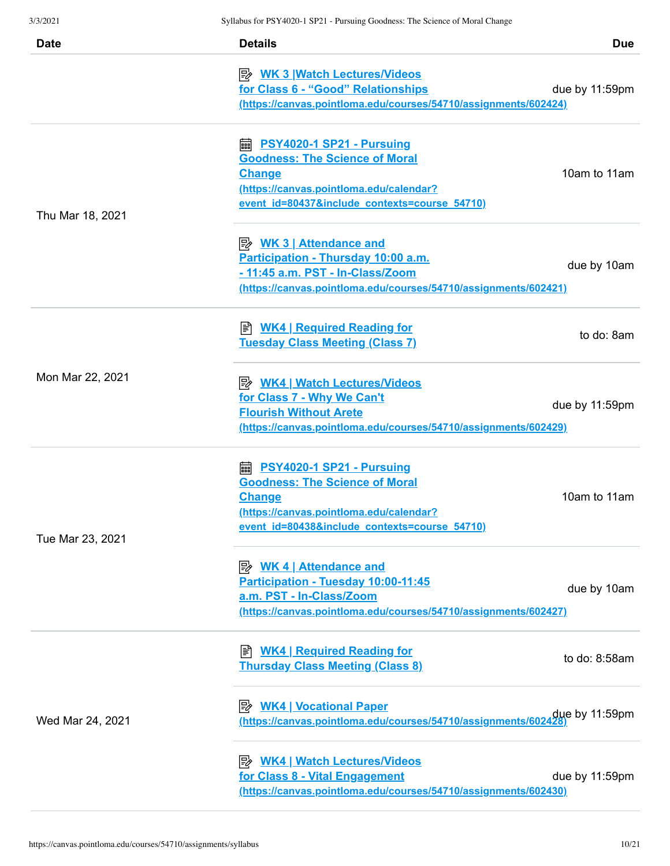| <b>Date</b>      | <b>Details</b>                                                                                                                                                                           | <b>Due</b>     |
|------------------|------------------------------------------------------------------------------------------------------------------------------------------------------------------------------------------|----------------|
|                  | <u>≫ WK 3   Watch Lectures/Videos</u><br>for Class 6 - "Good" Relationships<br>(https://canvas.pointloma.edu/courses/54710/assignments/602424)                                           | due by 11:59pm |
| Thu Mar 18, 2021 | <b>■ PSY4020-1 SP21 - Pursuing</b><br><b>Goodness: The Science of Moral</b><br><b>Change</b><br>(https://canvas.pointloma.edu/calendar?<br>event id=80437&include contexts=course 54710) | 10am to 11am   |
|                  | Participation - Thursday 10:00 a.m.<br>- 11:45 a.m. PST - In-Class/Zoom<br>(https://canvas.pointloma.edu/courses/54710/assignments/602421)                                               | due by 10am    |
|                  | <b>E</b> WK4   Required Reading for<br><b>Tuesday Class Meeting (Class 7)</b>                                                                                                            | to do: 8am     |
| Mon Mar 22, 2021 | for Class 7 - Why We Can't<br><b>Flourish Without Arete</b><br>(https://canvas.pointloma.edu/courses/54710/assignments/602429)                                                           | due by 11:59pm |
| Tue Mar 23, 2021 | <b>■ PSY4020-1 SP21 - Pursuing</b><br><b>Goodness: The Science of Moral</b><br><b>Change</b><br>(https://canvas.pointloma.edu/calendar?<br>event id=80438&include contexts=course 54710) | 10am to 11am   |
|                  | <b>WK 4   Attendance and</b><br>Participation - Tuesday 10:00-11:45<br>a.m. PST - In-Class/Zoom<br>(https://canvas.pointloma.edu/courses/54710/assignments/602427)                       | due by 10am    |
| Wed Mar 24, 2021 | ■ WK4   Required Reading for<br><b>Thursday Class Meeting (Class 8)</b>                                                                                                                  | to do: 8:58am  |
|                  | <b>B</b> WK4   Vocational Paper<br>due by 11:59pm (https://canvas.pointloma.edu/courses/54710/assignments/602428)                                                                        |                |
|                  | for Class 8 - Vital Engagement<br>(https://canvas.pointloma.edu/courses/54710/assignments/602430)                                                                                        | due by 11:59pm |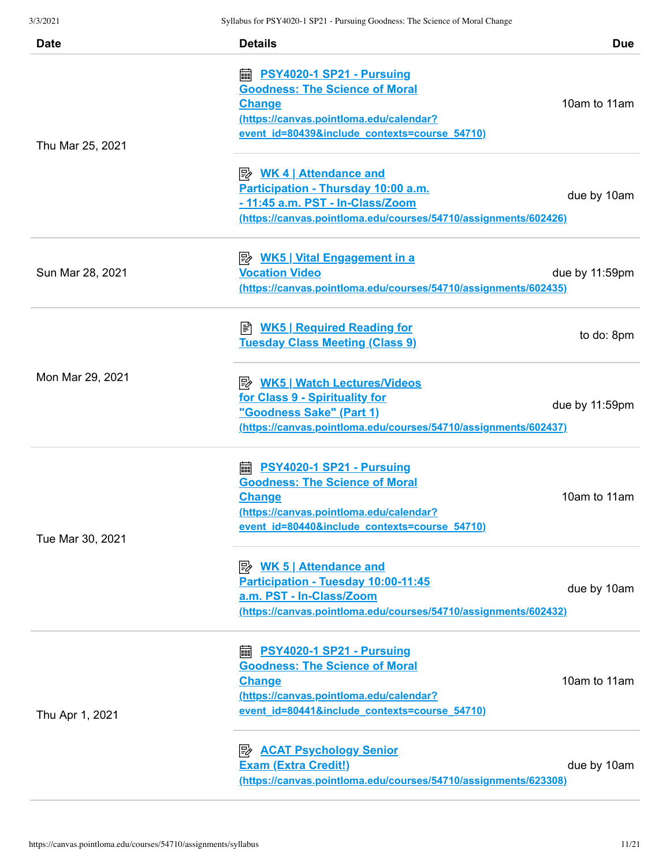| <b>Date</b>              | <b>Details</b>                                                                                                                                                                                                          | <b>Due</b>     |
|--------------------------|-------------------------------------------------------------------------------------------------------------------------------------------------------------------------------------------------------------------------|----------------|
| Thu Mar 25, 2021         | https://www.philippedia.org/models/space.org/models/and/controls/<br><b>Goodness: The Science of Moral</b><br><b>Change</b><br>(https://canvas.pointloma.edu/calendar?<br>event id=80439&include contexts=course 54710) | 10am to 11am   |
|                          | <b>B</b> WK 4   Attendance and<br>Participation - Thursday 10:00 a.m.<br>- 11:45 a.m. PST - In-Class/Zoom<br>(https://canvas.pointloma.edu/courses/54710/assignments/602426)                                            | due by 10am    |
| Sun Mar 28, 2021         | <b>Vocation Video</b><br>(https://canvas.pointloma.edu/courses/54710/assignments/602435)                                                                                                                                | due by 11:59pm |
|                          | B WK5   Required Reading for<br><b>Tuesday Class Meeting (Class 9)</b>                                                                                                                                                  | to do: 8pm     |
| Mon Mar 29, 2021         | for Class 9 - Spirituality for<br>"Goodness Sake" (Part 1)<br>(https://canvas.pointloma.edu/courses/54710/assignments/602437)                                                                                           | due by 11:59pm |
| Tue Mar 30, 2021         | <b>■ PSY4020-1 SP21 - Pursuing</b><br><b>Goodness: The Science of Moral</b><br><b>Change</b><br>(https://canvas.pointloma.edu/calendar?<br>event id=80440&include contexts=course 54710)                                | 10am to 11am   |
| a.m. PST - In-Class/Zoom | Participation - Tuesday 10:00-11:45<br>(https://canvas.pointloma.edu/courses/54710/assignments/602432)                                                                                                                  | due by 10am    |
| Thu Apr 1, 2021          | <b>■ PSY4020-1 SP21 - Pursuing</b><br><b>Goodness: The Science of Moral</b><br><b>Change</b><br>(https://canvas.pointloma.edu/calendar?<br>event id=80441&include contexts=course 54710)                                | 10am to 11am   |
|                          | <b>B</b> ACAT Psychology Senior<br><b>Exam (Extra Credit!)</b><br>(https://canvas.pointloma.edu/courses/54710/assignments/623308)                                                                                       | due by 10am    |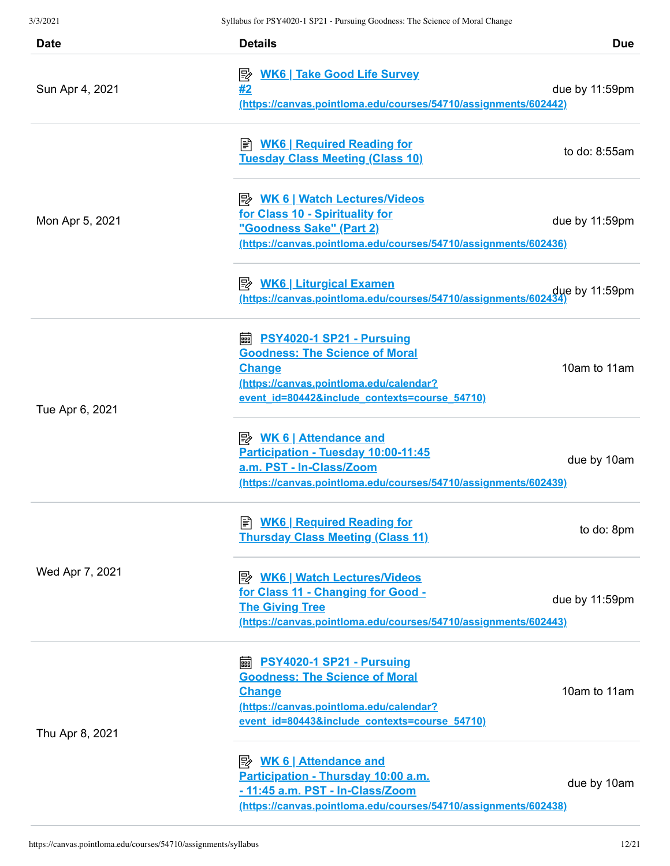| <b>Date</b>     | <b>Details</b>                                                                                                                                                                           | <b>Due</b>     |
|-----------------|------------------------------------------------------------------------------------------------------------------------------------------------------------------------------------------|----------------|
| Sun Apr 4, 2021 | <b>WK6   Take Good Life Survey</b><br>彫<br>#2<br>(https://canvas.pointloma.edu/courses/54710/assignments/602442)                                                                         | due by 11:59pm |
|                 | <b>E</b> WK6   Required Reading for<br><b>Tuesday Class Meeting (Class 10)</b>                                                                                                           | to do: 8:55am  |
| Mon Apr 5, 2021 | <b>B</b> WK 6   Watch Lectures/Videos<br>for Class 10 - Spirituality for<br>"Goodness Sake" (Part 2)<br>(https://canvas.pointloma.edu/courses/54710/assignments/602436)                  | due by 11:59pm |
|                 | (https://canvas.pointloma.edu/courses/54710/assignments/60243                                                                                                                            | due by 11:59pm |
| Tue Apr 6, 2021 | <b>■ PSY4020-1 SP21 - Pursuing</b><br><b>Goodness: The Science of Moral</b><br><b>Change</b><br>(https://canvas.pointloma.edu/calendar?<br>event id=80442&include contexts=course 54710) | 10am to 11am   |
|                 | Participation - Tuesday 10:00-11:45<br>a.m. PST - In-Class/Zoom<br>(https://canvas.pointloma.edu/courses/54710/assignments/602439)                                                       | due by 10am    |
|                 | <b>E</b> WK6   Required Reading for<br><b>Thursday Class Meeting (Class 11)</b>                                                                                                          | to do: 8pm     |
| Wed Apr 7, 2021 | <b>B</b> WK6   Watch Lectures/Videos<br>for Class 11 - Changing for Good -<br><b>The Giving Tree</b><br>(https://canvas.pointloma.edu/courses/54710/assignments/602443)                  | due by 11:59pm |
| Thu Apr 8, 2021 | <b>■ PSY4020-1 SP21 - Pursuing</b><br><b>Goodness: The Science of Moral</b><br><b>Change</b><br>(https://canvas.pointloma.edu/calendar?<br>event id=80443&include contexts=course 54710) | 10am to 11am   |
|                 | Participation - Thursday 10:00 a.m.<br>- 11:45 a.m. PST - In-Class/Zoom<br>(https://canvas.pointloma.edu/courses/54710/assignments/602438)                                               | due by 10am    |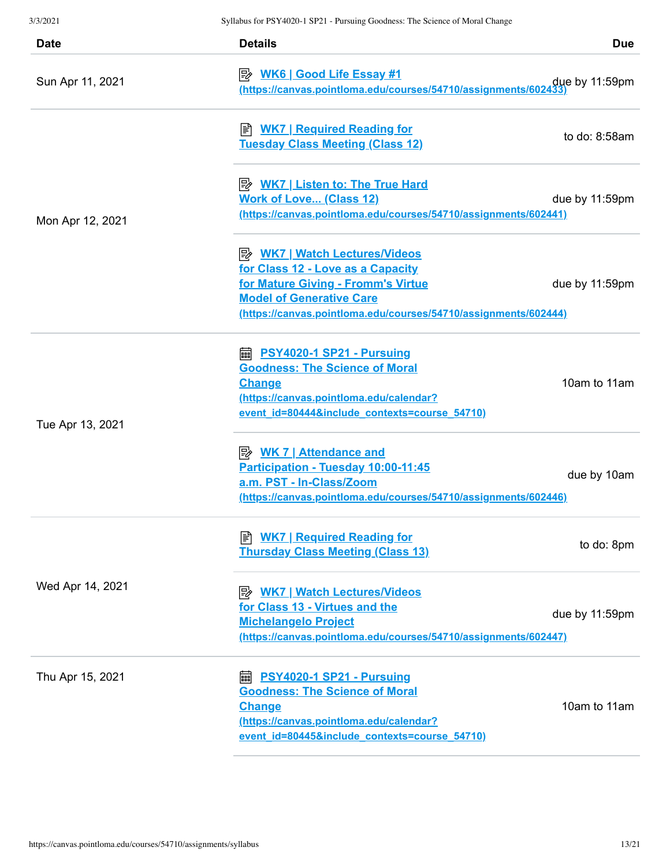| <b>Date</b>      | <b>Details</b>                                                                                                                                                                                                 | <b>Due</b>      |
|------------------|----------------------------------------------------------------------------------------------------------------------------------------------------------------------------------------------------------------|-----------------|
| Sun Apr 11, 2021 | <u>WK6   Good Life Essay #1</u><br>https://canvas.pointloma.edu/courses/54710/assignments/602433)                                                                                                              |                 |
|                  | ≢ <u>WK7   Required Reading for</u><br><b>Tuesday Class Meeting (Class 12)</b>                                                                                                                                 | to do: $8:58am$ |
| Mon Apr 12, 2021 | <b>E</b> WK7   Listen to: The True Hard<br><b>Work of Love (Class 12)</b><br>(https://canvas.pointloma.edu/courses/54710/assignments/602441)                                                                   | due by 11:59pm  |
|                  | P WK7   Watch Lectures/Videos<br>for Class 12 - Love as a Capacity<br>for Mature Giving - Fromm's Virtue<br><b>Model of Generative Care</b><br>(https://canvas.pointloma.edu/courses/54710/assignments/602444) | due by 11:59pm  |
| Tue Apr 13, 2021 | <b>■ PSY4020-1 SP21 - Pursuing</b><br><b>Goodness: The Science of Moral</b><br><b>Change</b><br>(https://canvas.pointloma.edu/calendar?<br>event id=80444&include contexts=course 54710)                       | 10am to 11am    |
|                  | Participation - Tuesday 10:00-11:45<br>a.m. PST - In-Class/Zoom<br>(https://canvas.pointloma.edu/courses/54710/assignments/602446)                                                                             | due by 10am     |
|                  | <b>E</b> WK7   Required Reading for<br><b>Thursday Class Meeting (Class 13)</b>                                                                                                                                | to do: 8pm      |
| Wed Apr 14, 2021 | <b>WK7   Watch Lectures/Videos</b><br>眇<br>for Class 13 - Virtues and the<br><b>Michelangelo Project</b><br>(https://canvas.pointloma.edu/courses/54710/assignments/602447)                                    | due by 11:59pm  |
| Thu Apr 15, 2021 | <b>■ PSY4020-1 SP21 - Pursuing</b><br><b>Goodness: The Science of Moral</b><br><b>Change</b><br>(https://canvas.pointloma.edu/calendar?<br>event id=80445&include contexts=course 54710)                       | 10am to 11am    |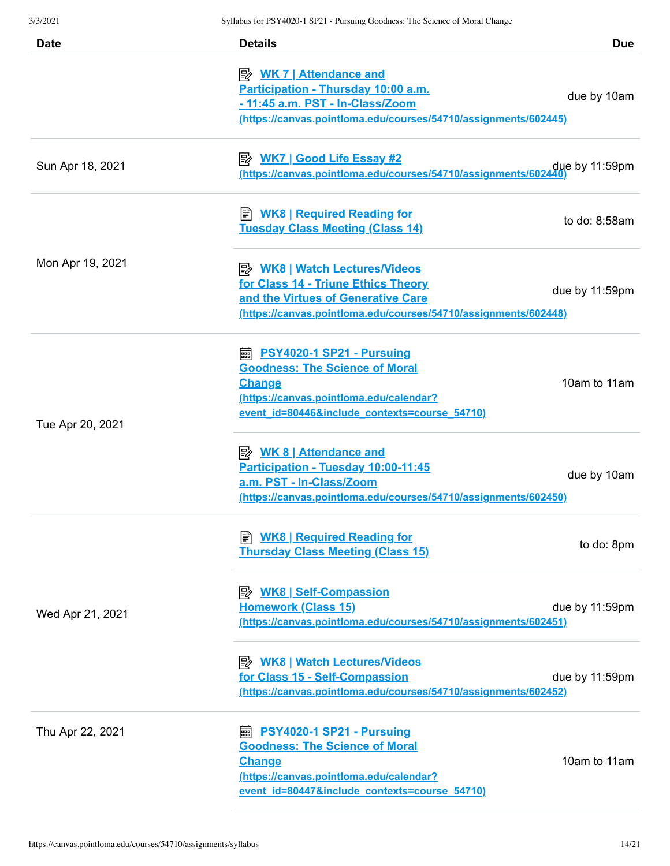| Date             | <b>Details</b>                                                                                                                                                                           | <b>Due</b>     |
|------------------|------------------------------------------------------------------------------------------------------------------------------------------------------------------------------------------|----------------|
|                  | <u>≫ WK 7   Attendance and</u><br>Participation - Thursday 10:00 a.m.<br>- 11:45 a.m. PST - In-Class/Zoom<br>(https://canvas.pointloma.edu/courses/54710/assignments/602445)             | due by 10am    |
| Sun Apr 18, 2021 | due by 11:59pm<br>https://canvas.pointloma.edu/courses/54710/assignments/602440)                                                                                                         |                |
|                  | <b>WK8   Required Reading for</b><br><b>Tuesday Class Meeting (Class 14)</b>                                                                                                             | to do: 8:58am  |
| Mon Apr 19, 2021 | <u>  WK8   Watch Lectures/Videos</u><br>for Class 14 - Triune Ethics Theory<br>and the Virtues of Generative Care<br>(https://canvas.pointloma.edu/courses/54710/assignments/602448)     | due by 11:59pm |
| Tue Apr 20, 2021 | <b>A</b> PSY4020-1 SP21 - Pursuing<br><b>Goodness: The Science of Moral</b><br><b>Change</b><br>(https://canvas.pointloma.edu/calendar?<br>event id=80446&include contexts=course 54710) | 10am to 11am   |
|                  | <b>B</b> WK 8   Attendance and<br>Participation - Tuesday 10:00-11:45<br>a.m. PST - In-Class/Zoom<br>(https://canvas.pointloma.edu/courses/54710/assignments/602450)                     | due by 10am    |
|                  | <b>E</b> WK8   Required Reading for<br><b>Thursday Class Meeting (Class 15)</b>                                                                                                          | to do: 8pm     |
| Wed Apr 21, 2021 | <b>Homework (Class 15)</b><br>(https://canvas.pointloma.edu/courses/54710/assignments/602451)                                                                                            | due by 11:59pm |
|                  | <u>  WK8   Watch Lectures/Videos</u><br>for Class 15 - Self-Compassion<br>(https://canvas.pointloma.edu/courses/54710/assignments/602452)                                                | due by 11:59pm |
| Thu Apr 22, 2021 | <b>■ PSY4020-1 SP21 - Pursuing</b><br><b>Goodness: The Science of Moral</b><br><b>Change</b><br>(https://canvas.pointloma.edu/calendar?<br>event id=80447&include contexts=course 54710) | 10am to 11am   |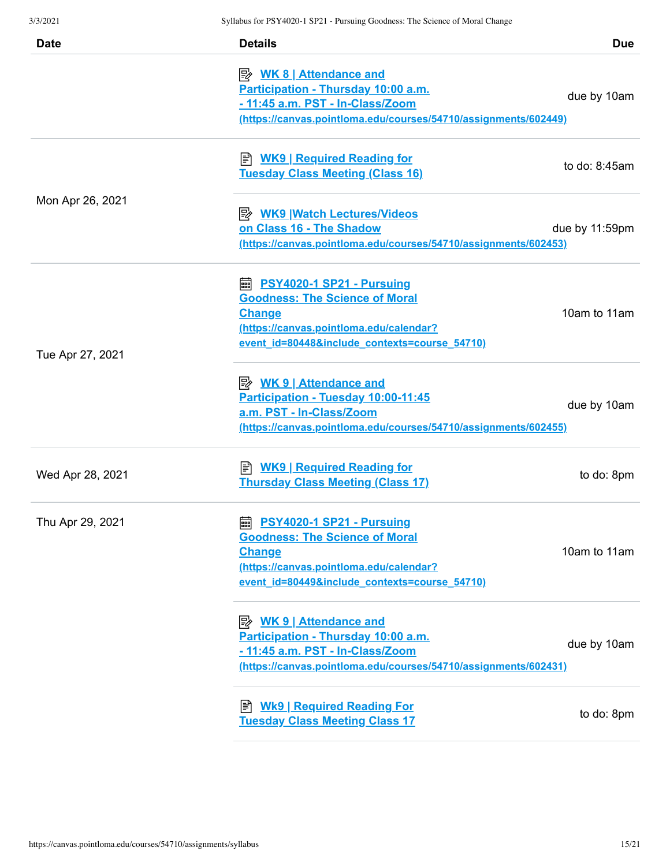| <b>Date</b>      | <b>Details</b>                                                                                                                                                                              | <b>Due</b>     |
|------------------|---------------------------------------------------------------------------------------------------------------------------------------------------------------------------------------------|----------------|
|                  | Participation - Thursday 10:00 a.m.<br>- 11:45 a.m. PST - In-Class/Zoom<br>(https://canvas.pointloma.edu/courses/54710/assignments/602449)                                                  | due by 10am    |
|                  | <b>E</b> WK9   Required Reading for<br><b>Tuesday Class Meeting (Class 16)</b>                                                                                                              | to do: 8:45am  |
| Mon Apr 26, 2021 | on Class 16 - The Shadow<br>(https://canvas.pointloma.edu/courses/54710/assignments/602453)                                                                                                 | due by 11:59pm |
| Tue Apr 27, 2021 | <b>■ PSY4020-1 SP21 - Pursuing</b><br><b>Goodness: The Science of Moral</b><br><b>Change</b><br>(https://canvas.pointloma.edu/calendar?<br>event id=80448&include contexts=course 54710)    | 10am to 11am   |
|                  | Participation - Tuesday 10:00-11:45<br>a.m. PST - In-Class/Zoom<br>(https://canvas.pointloma.edu/courses/54710/assignments/602455)                                                          | due by 10am    |
| Wed Apr 28, 2021 | ≢ <u>WK9   Required Reading for</u><br><b>Thursday Class Meeting (Class 17)</b>                                                                                                             | to do: 8pm     |
| Thu Apr 29, 2021 | <b>edge PSY4020-1 SP21 - Pursuing</b><br><b>Goodness: The Science of Moral</b><br><b>Change</b><br>(https://canvas.pointloma.edu/calendar?<br>event_id=80449&include_contexts=course_54710) | 10am to 11am   |
|                  | <b>Attendance and</b><br>Participation - Thursday 10:00 a.m.<br>- 11:45 a.m. PST - In-Class/Zoom<br>(https://canvas.pointloma.edu/courses/54710/assignments/602431)                         | due by 10am    |
|                  | <b>E</b> Wk9   Required Reading For<br><b>Tuesday Class Meeting Class 17</b>                                                                                                                | to do: 8pm     |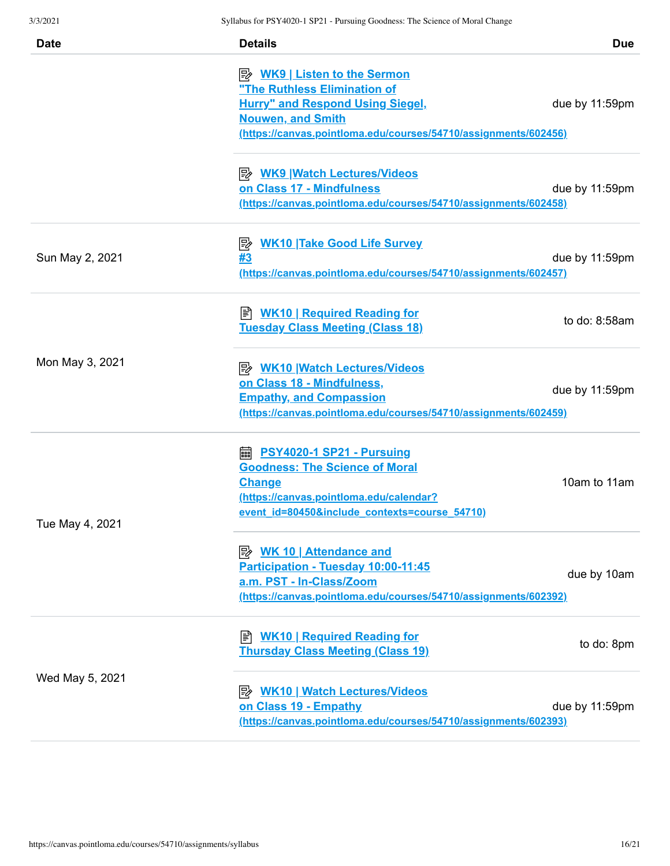| <b>Date</b>     | <b>Details</b>                                                                                                                                                                             | <b>Due</b>     |
|-----------------|--------------------------------------------------------------------------------------------------------------------------------------------------------------------------------------------|----------------|
|                 | "The Ruthless Elimination of<br><b>Hurry" and Respond Using Siegel,</b><br><b>Nouwen, and Smith</b><br>(https://canvas.pointloma.edu/courses/54710/assignments/602456)                     | due by 11:59pm |
|                 | <b>E</b> WK9 Watch Lectures/Videos<br>on Class 17 - Mindfulness<br>(https://canvas.pointloma.edu/courses/54710/assignments/602458)                                                         | due by 11:59pm |
| Sun May 2, 2021 | <b>E</b> MK10 Take Good Life Survey<br>#3<br>(https://canvas.pointloma.edu/courses/54710/assignments/602457)                                                                               | due by 11:59pm |
|                 | B WK10   Required Reading for<br><b>Tuesday Class Meeting (Class 18)</b>                                                                                                                   | to do: 8:58am  |
| Mon May 3, 2021 | <b>A</b> WK10 Watch Lectures/Videos<br>on Class 18 - Mindfulness,<br><b>Empathy, and Compassion</b><br>(https://canvas.pointloma.edu/courses/54710/assignments/602459)                     | due by 11:59pm |
| Tue May 4, 2021 | <b>edge PSY4020-1 SP21 - Pursuing</b><br><b>Goodness: The Science of Moral</b><br><b>Change</b><br>https://canvas.pointloma.edu/calendar?<br>event id=80450&include contexts=course 54710) | 10am to 11am   |
|                 | <u> <i>WK</i> 10   Attendance and</u><br>Participation - Tuesday 10:00-11:45<br>a.m. PST - In-Class/Zoom<br>(https://canvas.pointloma.edu/courses/54710/assignments/602392)                | due by 10am    |
| Wed May 5, 2021 | B WK10   Required Reading for<br><b>Thursday Class Meeting (Class 19)</b>                                                                                                                  | to do: 8pm     |
|                 | <b>A</b> WK10   Watch Lectures/Videos<br>on Class 19 - Empathy<br>(https://canvas.pointloma.edu/courses/54710/assignments/602393)                                                          | due by 11:59pm |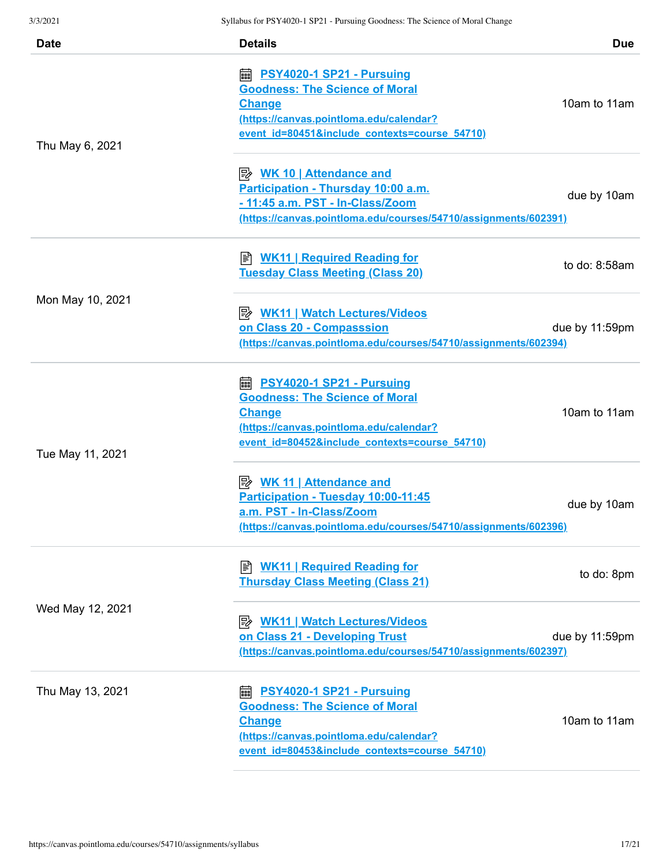| <b>Date</b>      | <b>Details</b>                                                                                                                                                                           | <b>Due</b>     |
|------------------|------------------------------------------------------------------------------------------------------------------------------------------------------------------------------------------|----------------|
| Thu May 6, 2021  | <b>■ PSY4020-1 SP21 - Pursuing</b><br><b>Goodness: The Science of Moral</b><br><b>Change</b><br>(https://canvas.pointloma.edu/calendar?<br>event id=80451&include contexts=course 54710) | 10am to 11am   |
|                  | <u> <i>WK</i> 10   Attendance and</u><br>Participation - Thursday 10:00 a.m.<br>- 11:45 a.m. PST - In-Class/Zoom<br>(https://canvas.pointloma.edu/courses/54710/assignments/602391)      | due by 10am    |
|                  | ≢ <u>WK11   Required Reading for</u><br><b>Tuesday Class Meeting (Class 20)</b>                                                                                                          | to do: 8:58am  |
| Mon May 10, 2021 | <b>A</b> WK11   Watch Lectures/Videos<br>on Class 20 - Compasssion<br>(https://canvas.pointloma.edu/courses/54710/assignments/602394)                                                    | due by 11:59pm |
| Tue May 11, 2021 | <b>■ PSY4020-1 SP21 - Pursuing</b><br><b>Goodness: The Science of Moral</b><br><b>Change</b><br>(https://canvas.pointloma.edu/calendar?<br>event id=80452&include contexts=course 54710) | 10am to 11am   |
|                  | <u> <i>WK</i> 11   Attendance and</u><br>Participation - Tuesday 10:00-11:45<br>a.m. PST - In-Class/Zoom<br>(https://canvas.pointloma.edu/courses/54710/assignments/602396)              | due by 10am    |
|                  | ■ WK11   Required Reading for<br><b>Thursday Class Meeting (Class 21)</b>                                                                                                                | to do: 8pm     |
| Wed May 12, 2021 | <b>B</b> WK11   Watch Lectures/Videos<br>on Class 21 - Developing Trust<br>(https://canvas.pointloma.edu/courses/54710/assignments/602397)                                               | due by 11:59pm |
| Thu May 13, 2021 | PSY4020-1 SP21 - Pursuing<br>酾<br><b>Goodness: The Science of Moral</b><br><b>Change</b><br>(https://canvas.pointloma.edu/calendar?<br>event id=80453&include contexts=course 54710)     | 10am to 11am   |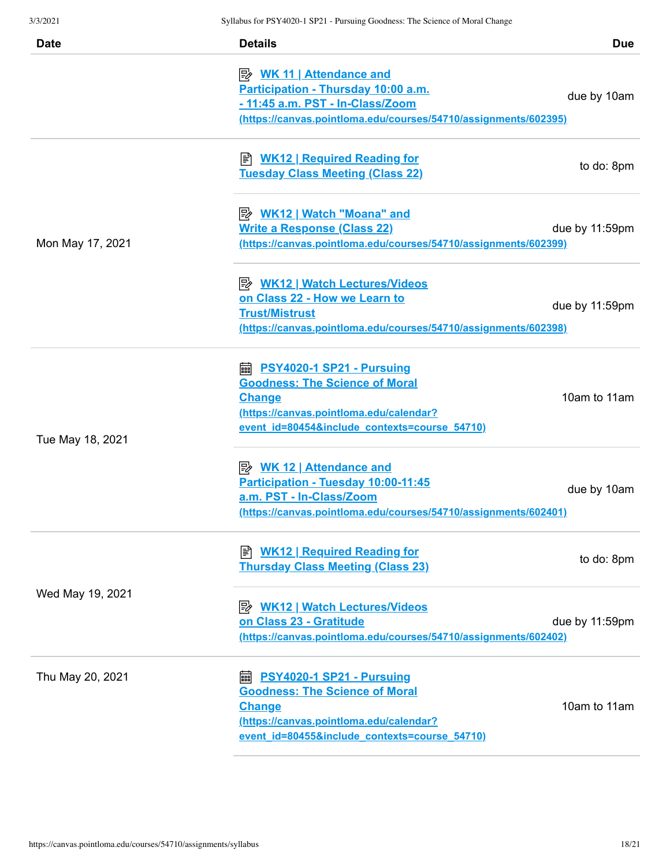| <b>Date</b>      | <b>Details</b>                                                                                                                                                                           | <b>Due</b>     |
|------------------|------------------------------------------------------------------------------------------------------------------------------------------------------------------------------------------|----------------|
|                  | <u>≫ WK 11   Attendance and</u><br>Participation - Thursday 10:00 a.m.<br>- 11:45 a.m. PST - In-Class/Zoom<br>(https://canvas.pointloma.edu/courses/54710/assignments/602395)            | due by 10am    |
|                  | <b>E</b> WK12   Required Reading for<br><b>Tuesday Class Meeting (Class 22)</b>                                                                                                          | to do: 8pm     |
| Mon May 17, 2021 | <b>Write a Response (Class 22)</b><br><u>(https://canvas.pointloma.edu/courses/54710/assignments/602399)</u>                                                                             | due by 11:59pm |
|                  | <u>WK12   Watch Lectures/Videos</u><br>on Class 22 - How we Learn to<br><b>Trust/Mistrust</b><br>(https://canvas.pointloma.edu/courses/54710/assignments/602398)                         | due by 11:59pm |
| Tue May 18, 2021 | <b>A</b> PSY4020-1 SP21 - Pursuing<br><b>Goodness: The Science of Moral</b><br><b>Change</b><br>(https://canvas.pointloma.edu/calendar?<br>event id=80454&include contexts=course 54710) | 10am to 11am   |
|                  | Participation - Tuesday 10:00-11:45<br>a.m. PST - In-Class/Zoom<br>(https://canvas.pointloma.edu/courses/54710/assignments/602401)                                                       | due by 10am    |
| Wed May 19, 2021 | B WK12   Required Reading for<br><b>Thursday Class Meeting (Class 23)</b>                                                                                                                | to do: 8pm     |
|                  | <b>B</b> WK12   Watch Lectures/Videos<br>on Class 23 - Gratitude<br>(https://canvas.pointloma.edu/courses/54710/assignments/602402)                                                      | due by 11:59pm |
| Thu May 20, 2021 | <b>■ PSY4020-1 SP21 - Pursuing</b><br><b>Goodness: The Science of Moral</b><br><b>Change</b><br>(https://canvas.pointloma.edu/calendar?<br>event id=80455&include contexts=course 54710) | 10am to 11am   |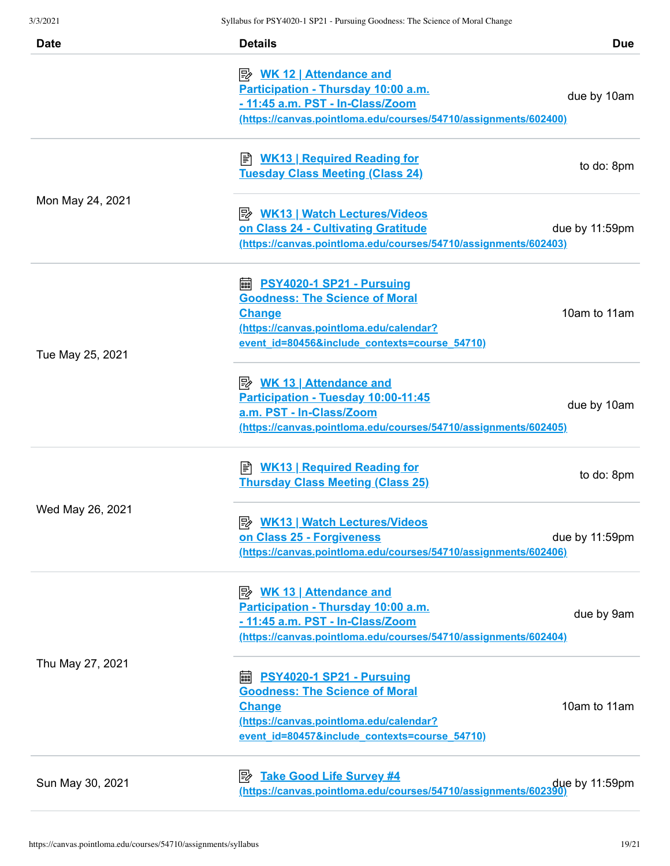| <b>Date</b>      | <b>Details</b>                                                                                                                                                                           | <b>Due</b>     |
|------------------|------------------------------------------------------------------------------------------------------------------------------------------------------------------------------------------|----------------|
|                  | <u>WK 12   Attendance and</u><br>Participation - Thursday 10:00 a.m.<br>- 11:45 a.m. PST - In-Class/Zoom<br>(https://canvas.pointloma.edu/courses/54710/assignments/602400)              | due by 10am    |
| Mon May 24, 2021 | B WK13   Required Reading for<br><b>Tuesday Class Meeting (Class 24)</b>                                                                                                                 | to do: 8pm     |
|                  | <b>B</b> WK13   Watch Lectures/Videos<br>on Class 24 - Cultivating Gratitude<br>(https://canvas.pointloma.edu/courses/54710/assignments/602403)                                          | due by 11:59pm |
| Tue May 25, 2021 | ■ PSY4020-1 SP21 - Pursuing<br><b>Goodness: The Science of Moral</b><br><b>Change</b><br>(https://canvas.pointloma.edu/calendar?<br>event id=80456&include contexts=course 54710)        | 10am to 11am   |
|                  | <u> <i>WK</i> 13   Attendance and</u><br>Participation - Tuesday 10:00-11:45<br>a.m. PST - In-Class/Zoom<br>(https://canvas.pointloma.edu/courses/54710/assignments/602405)              | due by 10am    |
| Wed May 26, 2021 | <b>E</b> WK13   Required Reading for<br><b>Thursday Class Meeting (Class 25)</b>                                                                                                         | to do: 8pm     |
|                  | <b>B</b> WK13   Watch Lectures/Videos<br>on Class 25 - Forgiveness<br>(https://canvas.pointloma.edu/courses/54710/assignments/602406)                                                    | due by 11:59pm |
| Thu May 27, 2021 | Participation - Thursday 10:00 a.m.<br>- 11:45 a.m. PST - In-Class/Zoom<br>(https://canvas.pointloma.edu/courses/54710/assignments/602404)                                               | due by 9am     |
|                  | <b>■ PSY4020-1 SP21 - Pursuing</b><br><b>Goodness: The Science of Moral</b><br><b>Change</b><br>(https://canvas.pointloma.edu/calendar?<br>event id=80457&include contexts=course 54710) | 10am to 11am   |
| Sun May 30, 2021 | <b>Take Good Life Survey #4</b><br>⊯<br>due by 11:59pm (https://canvas.pointloma.edu/courses/54710/assignments/602390)                                                                   |                |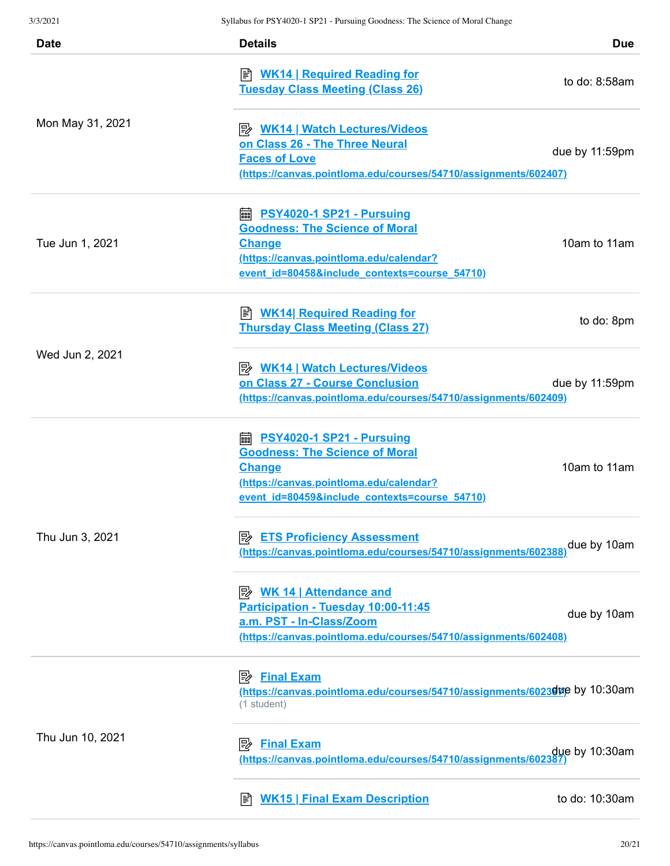| <b>Date</b>      | <b>Details</b>                                                                                                                                                                           | <b>Due</b>     |
|------------------|------------------------------------------------------------------------------------------------------------------------------------------------------------------------------------------|----------------|
| Mon May 31, 2021 | ≢ <u>WK14   Required Reading for</u><br><b>Tuesday Class Meeting (Class 26)</b>                                                                                                          | to do: 8:58am  |
|                  | <b>B</b> WK14   Watch Lectures/Videos<br>on Class 26 - The Three Neural<br><b>Faces of Love</b><br>(https://canvas.pointloma.edu/courses/54710/assignments/602407)                       | due by 11:59pm |
| Tue Jun 1, 2021  | ■ PSY4020-1 SP21 - Pursuing<br><b>Goodness: The Science of Moral</b><br><b>Change</b><br>(https://canvas.pointloma.edu/calendar?<br>event id=80458&include contexts=course 54710)        | 10am to 11am   |
| Wed Jun 2, 2021  | <b>E</b> WK14  Required Reading for<br><b>Thursday Class Meeting (Class 27)</b>                                                                                                          | to do: 8pm     |
|                  | <b>B</b> WK14   Watch Lectures/Videos<br>on Class 27 - Course Conclusion<br>(https://canvas.pointloma.edu/courses/54710/assignments/602409)                                              | due by 11:59pm |
| Thu Jun 3, 2021  | <b>A</b> PSY4020-1 SP21 - Pursuing<br><b>Goodness: The Science of Moral</b><br><b>Change</b><br>(https://canvas.pointloma.edu/calendar?<br>event id=80459&include contexts=course 54710) | 10am to 11am   |
|                  | <b>ETS Proficiency Assessment</b><br>⊯<br>(https://canvas.pointloma.edu/courses/54710/assignments/602388                                                                                 | due by 10am    |
|                  | P <sup>b</sup> WK 14   Attendance and<br>Participation - Tuesday 10:00-11:45<br>a.m. PST - In-Class/Zoom<br>(https://canvas.pointloma.edu/courses/54710/assignments/602408)              | due by 10am    |
| Thu Jun 10, 2021 | <b>Final Exam</b><br>י⁄י<br>https://canvas.pointloma.edu/courses/54710/assignments/60230up by 10:30am<br>(1 student)                                                                     |                |
|                  | <b>Final Exam</b><br>ぼ<br>due by 10:30am<br>https://canvas.pointloma.edu/courses/54710/assignments/602387)                                                                               |                |
|                  | <b>WK15   Final Exam Description</b><br>I≣ไ                                                                                                                                              | to do: 10:30am |